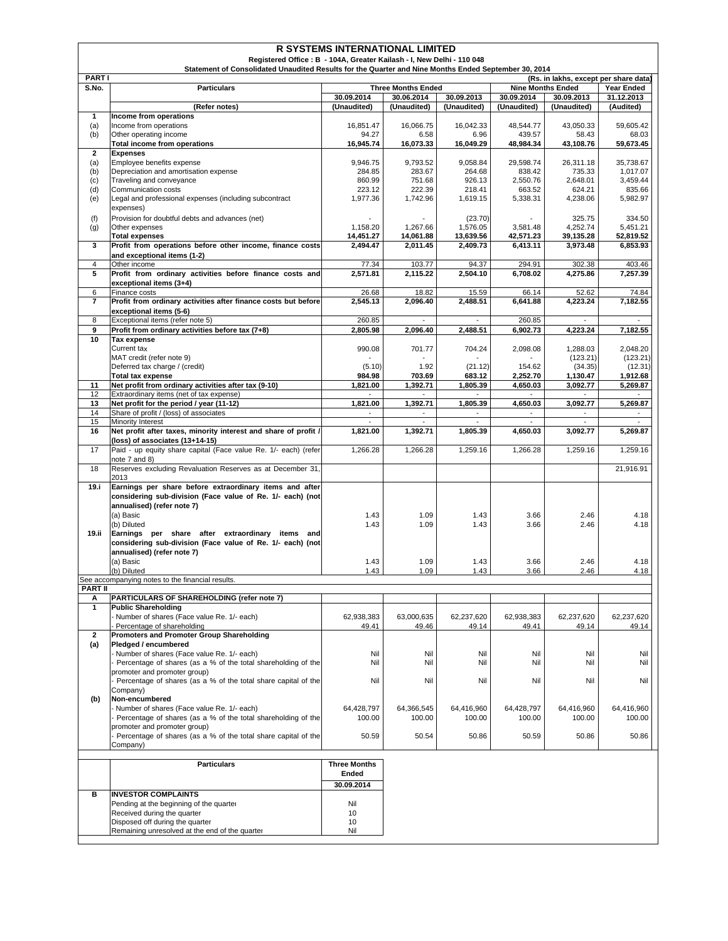| <b>PARTI</b><br>(Rs. in lakhs, except per share data)<br>S.No.<br><b>Particulars</b><br><b>Three Months Ended</b><br><b>Nine Months Ended</b><br>Year Ended<br>30.09.2014<br>30.06.2014<br>30.09.2014<br>30.09.2013<br>31.12.2013<br>30.09.2013<br>(Unaudited)<br>(Unaudited)<br>(Unaudited)<br>(Unaudited)<br>(Unaudited)<br>(Audited)<br>(Refer notes)<br>1<br>Income from operations<br>16,851.47<br>16,066.75<br>16,042.33<br>48,544.77<br>43,050.33<br>59,605.42<br>(a)<br>Income from operations<br>(b)<br>94.27<br>439.57<br>Other operating income<br>6.58<br>6.96<br>58.43<br>68.03<br>16,073.33<br>16,049.29<br>48,984.34<br>43,108.76<br>59,673.45<br>Total income from operations<br>16,945.74<br>$\mathbf{2}$<br><b>Expenses</b><br>Employee benefits expense<br>9,058.84<br>29,598.74<br>26,311.18<br>35,738.67<br>(a)<br>9,946.75<br>9,793.52<br>Depreciation and amortisation expense<br>284.85<br>283.67<br>264.68<br>838.42<br>735.33<br>1,017.07<br>(b)<br>860.99<br>751.68<br>926.13<br>2,550.76<br>2,648.01<br>3,459.44<br>(c)<br>Traveling and conveyance<br>223.12<br>222.39<br>218.41<br>663.52<br>835.66<br>(d)<br>Communication costs<br>624.21<br>Legal and professional expenses (including subcontract<br>1,977.36<br>1,742.96<br>1,619.15<br>5,338.31<br>5,982.97<br>(e)<br>4,238.06<br>expenses)<br>(f)<br>Provision for doubtful debts and advances (net)<br>334.50<br>(23.70)<br>325.75<br>1,267.66<br>1,576.05<br>4,252.74<br>5,451.21<br>(g)<br>Other expenses<br>1,158.20<br>3,581.48<br>14,061.88<br>13,639.56<br>42,571.23<br>39,135.28<br>52,819.52<br><b>Total expenses</b><br>14,451.27<br>3<br>Profit from operations before other income, finance costs<br>6,853.93<br>2,494.47<br>2,011.45<br>2,409.73<br>6,413.11<br>3,973.48<br>and exceptional items (1-2)<br>$\overline{4}$<br>Other income<br>77.34<br>103.77<br>94.37<br>294.91<br>302.38<br>403.46<br>Profit from ordinary activities before finance costs and<br>5<br>2,571.81<br>2,115.22<br>2,504.10<br>7,257.39<br>6,708.02<br>4,275.86<br>exceptional items (3+4)<br>26.68<br>52.62<br>6<br>Finance costs<br>18.82<br>15.59<br>66.14<br>74.84<br>$\overline{7}$<br>Profit from ordinary activities after finance costs but before<br>2,545.13<br>2,488.51<br>6,641.88<br>4,223.24<br>7,182.55<br>2,096.40<br>exceptional items (5-6)<br>Exceptional items (refer note 5)<br>260.85<br>260.85<br>8<br>$\overline{\phantom{a}}$<br>$\overline{\phantom{a}}$<br>$\overline{\phantom{a}}$<br>$\overline{\phantom{a}}$<br>9<br>Profit from ordinary activities before tax (7+8)<br>2,805.98<br>2,096.40<br>2,488.51<br>6,902.73<br>4,223.24<br>7,182.55<br>10<br>Tax expense<br>Current tax<br>990.08<br>701.77<br>704.24<br>1,288.03<br>2,048.20<br>2,098.08<br>MAT credit (refer note 9)<br>(123.21)<br>(123.21)<br>Deferred tax charge / (credit)<br>(21.12)<br>154.62<br>(5.10)<br>1.92<br>(34.35)<br>(12.31)<br>2,252.70<br><b>Total tax expense</b><br>984.98<br>703.69<br>683.12<br>1,130.47<br>1,912.68<br>Net profit from ordinary activities after tax (9-10)<br>1,392.71<br>1,805.39<br>4,650.03<br>5,269.87<br>11<br>1,821.00<br>3,092.77<br>12<br>Extraordinary items (net of tax expense)<br>1,821.00<br>1,392.71<br>3,092.77<br>13<br>Net profit for the period / year (11-12)<br>1,805.39<br>4,650.03<br>5,269.87<br>14<br>Share of profit / (loss) of associates<br>$\overline{\phantom{a}}$<br>$\overline{\phantom{a}}$<br>$\overline{\phantom{a}}$<br>$\overline{\phantom{a}}$<br>$\overline{\phantom{a}}$<br>15<br><b>Minority Interest</b><br>Net profit after taxes, minority interest and share of profit /<br>16<br>1,821.00<br>1,392.71<br>1,805.39<br>4,650.03<br>3,092.77<br>5,269.87<br>(loss) of associates (13+14-15)<br>17<br>Paid - up equity share capital (Face value Re. 1/- each) (refer<br>1,266.28<br>1,266.28<br>1,259.16<br>1,266.28<br>1,259.16<br>1,259.16<br>note 7 and 8)<br>18<br>Reserves excluding Revaluation Reserves as at December 31,<br>21,916.91<br>2013<br>19.i<br>Earnings per share before extraordinary items and after<br>considering sub-division (Face value of Re. 1/- each) (not<br>annualised) (refer note 7)<br>(a) Basic<br>1.43<br>2.46<br>1.43<br>1.09<br>3.66<br>4.18<br>1.43<br>(b) Diluted<br>1.43<br>1.09<br>3.66<br>2.46<br>4.18<br>19.ii<br>Earnings per share after extraordinary items and<br>considering sub-division (Face value of Re. 1/- each) (not<br>annualised) (refer note 7)<br>(a) Basic<br>1.43<br>1.09<br>1.43<br>3.66<br>2.46<br>4.18<br>1.43<br>(b) Diluted<br>1.43<br>1.09<br>3.66<br>2.46<br>4.18<br>See accompanying notes to the financial results.<br><b>PART II</b><br>PARTICULARS OF SHAREHOLDING (refer note 7)<br>А<br>$\mathbf{1}$<br><b>Public Shareholding</b><br>- Number of shares (Face value Re. 1/- each)<br>62,938,383<br>63,000,635<br>62,237,620<br>62,938,383<br>62,237,620<br>62,237,620<br>Percentage of shareholding<br>49.46<br>49.14<br>49.41<br>49.14<br>49.41<br>49.14<br>Promoters and Promoter Group Shareholding<br>$\overline{2}$<br>(a)<br>Pledged / encumbered<br>Number of shares (Face value Re. 1/- each)<br>Nil<br>Nil<br>Nil<br>Nil<br>Nil<br>Nil<br>Percentage of shares (as a % of the total shareholding of the<br>Nil<br>Nil<br>Nil<br>Nil<br>Nil<br>Nil<br>promoter and promoter group)<br>Percentage of shares (as a % of the total share capital of the<br>Nil<br>Nil<br>Nil<br>Nil<br>Nil<br>Nil<br>Company)<br>(b)<br>Non-encumbered<br>Number of shares (Face value Re. 1/- each)<br>64,428,797<br>64,366,545<br>64,416,960<br>64,428,797<br>64,416,960<br>64,416,960<br>Percentage of shares (as a % of the total shareholding of the<br>100.00<br>100.00<br>100.00<br>100.00<br>100.00<br>100.00<br>promoter and promoter group)<br>Percentage of shares (as a % of the total share capital of the<br>50.86<br>50.59<br>50.54<br>50.86<br>50.59<br>50.86<br>Company)<br><b>Three Months</b><br><b>Particulars</b><br>Ended<br>30.09.2014<br><b>INVESTOR COMPLAINTS</b><br>в<br>Pending at the beginning of the quarter<br>Nil<br>Received during the quarter<br>10<br>Disposed off during the quarter<br>10<br>Remaining unresolved at the end of the quarter<br>Nil | <b>R SYSTEMS INTERNATIONAL LIMITED</b><br>Registered Office: B - 104A, Greater Kailash - I, New Delhi - 110 048<br>Statement of Consolidated Unaudited Results for the Quarter and Nine Months Ended September 30, 2014 |  |  |  |  |  |  |  |  |  |
|-----------------------------------------------------------------------------------------------------------------------------------------------------------------------------------------------------------------------------------------------------------------------------------------------------------------------------------------------------------------------------------------------------------------------------------------------------------------------------------------------------------------------------------------------------------------------------------------------------------------------------------------------------------------------------------------------------------------------------------------------------------------------------------------------------------------------------------------------------------------------------------------------------------------------------------------------------------------------------------------------------------------------------------------------------------------------------------------------------------------------------------------------------------------------------------------------------------------------------------------------------------------------------------------------------------------------------------------------------------------------------------------------------------------------------------------------------------------------------------------------------------------------------------------------------------------------------------------------------------------------------------------------------------------------------------------------------------------------------------------------------------------------------------------------------------------------------------------------------------------------------------------------------------------------------------------------------------------------------------------------------------------------------------------------------------------------------------------------------------------------------------------------------------------------------------------------------------------------------------------------------------------------------------------------------------------------------------------------------------------------------------------------------------------------------------------------------------------------------------------------------------------------------------------------------------------------------------------------------------------------------------------------------------------------------------------------------------------------------------------------------------------------------------------------------------------------------------------------------------------------------------------------------------------------------------------------------------------------------------------------------------------------------------------------------------------------------------------------------------------------------------------------------------------------------------------------------------------------------------------------------------------------------------------------------------------------------------------------------------------------------------------------------------------------------------------------------------------------------------------------------------------------------------------------------------------------------------------------------------------------------------------------------------------------------------------------------------------------------------------------------------------------------------------------------------------------------------------------------------------------------------------------------------------------------------------------------------------------------------------------------------------------------------------------------------------------------------------------------------------------------------------------------------------------------------------------------------------------------------------------------------------------------------------------------------------------------------------------------------------------------------------------------------------------------------------------------------------------------------------------------------------------------------------------------------------------------------------------------------------------------------------------------------------------------------------------------------------------------------------------------------------------------------------------------------------------------------------------------------------------------------------------------------------------------------------------------------------------------------------------------------------------------------------------------------------------------------------------------------------------------------------------------------------------------------------------------------------------------------------------------------------------------------------------------------------------------------------------------------------------------------------------------------------------------------------------------------------------------------------------------------------------------------------------------------------------------------------------------------------------------------------------------------------------------------------------------------------------------------------------------------------------------------------------------------------------------------------------------------------------------------------------------------------------------------------------------------------------------------------------------------------------------------------------------------------------------------------------------------------------------------------------------------------------------------------------------------------------|-------------------------------------------------------------------------------------------------------------------------------------------------------------------------------------------------------------------------|--|--|--|--|--|--|--|--|--|
|                                                                                                                                                                                                                                                                                                                                                                                                                                                                                                                                                                                                                                                                                                                                                                                                                                                                                                                                                                                                                                                                                                                                                                                                                                                                                                                                                                                                                                                                                                                                                                                                                                                                                                                                                                                                                                                                                                                                                                                                                                                                                                                                                                                                                                                                                                                                                                                                                                                                                                                                                                                                                                                                                                                                                                                                                                                                                                                                                                                                                                                                                                                                                                                                                                                                                                                                                                                                                                                                                                                                                                                                                                                                                                                                                                                                                                                                                                                                                                                                                                                                                                                                                                                                                                                                                                                                                                                                                                                                                                                                                                                                                                                                                                                                                                                                                                                                                                                                                                                                                                                                                                                                                                                                                                                                                                                                                                                                                                                                                                                                                                                                                                                                                                                                                                                                                                                                                                                                                                                                                                                                                                                                                                                                                       |                                                                                                                                                                                                                         |  |  |  |  |  |  |  |  |  |
|                                                                                                                                                                                                                                                                                                                                                                                                                                                                                                                                                                                                                                                                                                                                                                                                                                                                                                                                                                                                                                                                                                                                                                                                                                                                                                                                                                                                                                                                                                                                                                                                                                                                                                                                                                                                                                                                                                                                                                                                                                                                                                                                                                                                                                                                                                                                                                                                                                                                                                                                                                                                                                                                                                                                                                                                                                                                                                                                                                                                                                                                                                                                                                                                                                                                                                                                                                                                                                                                                                                                                                                                                                                                                                                                                                                                                                                                                                                                                                                                                                                                                                                                                                                                                                                                                                                                                                                                                                                                                                                                                                                                                                                                                                                                                                                                                                                                                                                                                                                                                                                                                                                                                                                                                                                                                                                                                                                                                                                                                                                                                                                                                                                                                                                                                                                                                                                                                                                                                                                                                                                                                                                                                                                                                       |                                                                                                                                                                                                                         |  |  |  |  |  |  |  |  |  |
|                                                                                                                                                                                                                                                                                                                                                                                                                                                                                                                                                                                                                                                                                                                                                                                                                                                                                                                                                                                                                                                                                                                                                                                                                                                                                                                                                                                                                                                                                                                                                                                                                                                                                                                                                                                                                                                                                                                                                                                                                                                                                                                                                                                                                                                                                                                                                                                                                                                                                                                                                                                                                                                                                                                                                                                                                                                                                                                                                                                                                                                                                                                                                                                                                                                                                                                                                                                                                                                                                                                                                                                                                                                                                                                                                                                                                                                                                                                                                                                                                                                                                                                                                                                                                                                                                                                                                                                                                                                                                                                                                                                                                                                                                                                                                                                                                                                                                                                                                                                                                                                                                                                                                                                                                                                                                                                                                                                                                                                                                                                                                                                                                                                                                                                                                                                                                                                                                                                                                                                                                                                                                                                                                                                                                       |                                                                                                                                                                                                                         |  |  |  |  |  |  |  |  |  |
|                                                                                                                                                                                                                                                                                                                                                                                                                                                                                                                                                                                                                                                                                                                                                                                                                                                                                                                                                                                                                                                                                                                                                                                                                                                                                                                                                                                                                                                                                                                                                                                                                                                                                                                                                                                                                                                                                                                                                                                                                                                                                                                                                                                                                                                                                                                                                                                                                                                                                                                                                                                                                                                                                                                                                                                                                                                                                                                                                                                                                                                                                                                                                                                                                                                                                                                                                                                                                                                                                                                                                                                                                                                                                                                                                                                                                                                                                                                                                                                                                                                                                                                                                                                                                                                                                                                                                                                                                                                                                                                                                                                                                                                                                                                                                                                                                                                                                                                                                                                                                                                                                                                                                                                                                                                                                                                                                                                                                                                                                                                                                                                                                                                                                                                                                                                                                                                                                                                                                                                                                                                                                                                                                                                                                       |                                                                                                                                                                                                                         |  |  |  |  |  |  |  |  |  |
|                                                                                                                                                                                                                                                                                                                                                                                                                                                                                                                                                                                                                                                                                                                                                                                                                                                                                                                                                                                                                                                                                                                                                                                                                                                                                                                                                                                                                                                                                                                                                                                                                                                                                                                                                                                                                                                                                                                                                                                                                                                                                                                                                                                                                                                                                                                                                                                                                                                                                                                                                                                                                                                                                                                                                                                                                                                                                                                                                                                                                                                                                                                                                                                                                                                                                                                                                                                                                                                                                                                                                                                                                                                                                                                                                                                                                                                                                                                                                                                                                                                                                                                                                                                                                                                                                                                                                                                                                                                                                                                                                                                                                                                                                                                                                                                                                                                                                                                                                                                                                                                                                                                                                                                                                                                                                                                                                                                                                                                                                                                                                                                                                                                                                                                                                                                                                                                                                                                                                                                                                                                                                                                                                                                                                       |                                                                                                                                                                                                                         |  |  |  |  |  |  |  |  |  |
|                                                                                                                                                                                                                                                                                                                                                                                                                                                                                                                                                                                                                                                                                                                                                                                                                                                                                                                                                                                                                                                                                                                                                                                                                                                                                                                                                                                                                                                                                                                                                                                                                                                                                                                                                                                                                                                                                                                                                                                                                                                                                                                                                                                                                                                                                                                                                                                                                                                                                                                                                                                                                                                                                                                                                                                                                                                                                                                                                                                                                                                                                                                                                                                                                                                                                                                                                                                                                                                                                                                                                                                                                                                                                                                                                                                                                                                                                                                                                                                                                                                                                                                                                                                                                                                                                                                                                                                                                                                                                                                                                                                                                                                                                                                                                                                                                                                                                                                                                                                                                                                                                                                                                                                                                                                                                                                                                                                                                                                                                                                                                                                                                                                                                                                                                                                                                                                                                                                                                                                                                                                                                                                                                                                                                       |                                                                                                                                                                                                                         |  |  |  |  |  |  |  |  |  |
|                                                                                                                                                                                                                                                                                                                                                                                                                                                                                                                                                                                                                                                                                                                                                                                                                                                                                                                                                                                                                                                                                                                                                                                                                                                                                                                                                                                                                                                                                                                                                                                                                                                                                                                                                                                                                                                                                                                                                                                                                                                                                                                                                                                                                                                                                                                                                                                                                                                                                                                                                                                                                                                                                                                                                                                                                                                                                                                                                                                                                                                                                                                                                                                                                                                                                                                                                                                                                                                                                                                                                                                                                                                                                                                                                                                                                                                                                                                                                                                                                                                                                                                                                                                                                                                                                                                                                                                                                                                                                                                                                                                                                                                                                                                                                                                                                                                                                                                                                                                                                                                                                                                                                                                                                                                                                                                                                                                                                                                                                                                                                                                                                                                                                                                                                                                                                                                                                                                                                                                                                                                                                                                                                                                                                       |                                                                                                                                                                                                                         |  |  |  |  |  |  |  |  |  |
|                                                                                                                                                                                                                                                                                                                                                                                                                                                                                                                                                                                                                                                                                                                                                                                                                                                                                                                                                                                                                                                                                                                                                                                                                                                                                                                                                                                                                                                                                                                                                                                                                                                                                                                                                                                                                                                                                                                                                                                                                                                                                                                                                                                                                                                                                                                                                                                                                                                                                                                                                                                                                                                                                                                                                                                                                                                                                                                                                                                                                                                                                                                                                                                                                                                                                                                                                                                                                                                                                                                                                                                                                                                                                                                                                                                                                                                                                                                                                                                                                                                                                                                                                                                                                                                                                                                                                                                                                                                                                                                                                                                                                                                                                                                                                                                                                                                                                                                                                                                                                                                                                                                                                                                                                                                                                                                                                                                                                                                                                                                                                                                                                                                                                                                                                                                                                                                                                                                                                                                                                                                                                                                                                                                                                       |                                                                                                                                                                                                                         |  |  |  |  |  |  |  |  |  |
|                                                                                                                                                                                                                                                                                                                                                                                                                                                                                                                                                                                                                                                                                                                                                                                                                                                                                                                                                                                                                                                                                                                                                                                                                                                                                                                                                                                                                                                                                                                                                                                                                                                                                                                                                                                                                                                                                                                                                                                                                                                                                                                                                                                                                                                                                                                                                                                                                                                                                                                                                                                                                                                                                                                                                                                                                                                                                                                                                                                                                                                                                                                                                                                                                                                                                                                                                                                                                                                                                                                                                                                                                                                                                                                                                                                                                                                                                                                                                                                                                                                                                                                                                                                                                                                                                                                                                                                                                                                                                                                                                                                                                                                                                                                                                                                                                                                                                                                                                                                                                                                                                                                                                                                                                                                                                                                                                                                                                                                                                                                                                                                                                                                                                                                                                                                                                                                                                                                                                                                                                                                                                                                                                                                                                       |                                                                                                                                                                                                                         |  |  |  |  |  |  |  |  |  |
|                                                                                                                                                                                                                                                                                                                                                                                                                                                                                                                                                                                                                                                                                                                                                                                                                                                                                                                                                                                                                                                                                                                                                                                                                                                                                                                                                                                                                                                                                                                                                                                                                                                                                                                                                                                                                                                                                                                                                                                                                                                                                                                                                                                                                                                                                                                                                                                                                                                                                                                                                                                                                                                                                                                                                                                                                                                                                                                                                                                                                                                                                                                                                                                                                                                                                                                                                                                                                                                                                                                                                                                                                                                                                                                                                                                                                                                                                                                                                                                                                                                                                                                                                                                                                                                                                                                                                                                                                                                                                                                                                                                                                                                                                                                                                                                                                                                                                                                                                                                                                                                                                                                                                                                                                                                                                                                                                                                                                                                                                                                                                                                                                                                                                                                                                                                                                                                                                                                                                                                                                                                                                                                                                                                                                       |                                                                                                                                                                                                                         |  |  |  |  |  |  |  |  |  |
|                                                                                                                                                                                                                                                                                                                                                                                                                                                                                                                                                                                                                                                                                                                                                                                                                                                                                                                                                                                                                                                                                                                                                                                                                                                                                                                                                                                                                                                                                                                                                                                                                                                                                                                                                                                                                                                                                                                                                                                                                                                                                                                                                                                                                                                                                                                                                                                                                                                                                                                                                                                                                                                                                                                                                                                                                                                                                                                                                                                                                                                                                                                                                                                                                                                                                                                                                                                                                                                                                                                                                                                                                                                                                                                                                                                                                                                                                                                                                                                                                                                                                                                                                                                                                                                                                                                                                                                                                                                                                                                                                                                                                                                                                                                                                                                                                                                                                                                                                                                                                                                                                                                                                                                                                                                                                                                                                                                                                                                                                                                                                                                                                                                                                                                                                                                                                                                                                                                                                                                                                                                                                                                                                                                                                       |                                                                                                                                                                                                                         |  |  |  |  |  |  |  |  |  |
|                                                                                                                                                                                                                                                                                                                                                                                                                                                                                                                                                                                                                                                                                                                                                                                                                                                                                                                                                                                                                                                                                                                                                                                                                                                                                                                                                                                                                                                                                                                                                                                                                                                                                                                                                                                                                                                                                                                                                                                                                                                                                                                                                                                                                                                                                                                                                                                                                                                                                                                                                                                                                                                                                                                                                                                                                                                                                                                                                                                                                                                                                                                                                                                                                                                                                                                                                                                                                                                                                                                                                                                                                                                                                                                                                                                                                                                                                                                                                                                                                                                                                                                                                                                                                                                                                                                                                                                                                                                                                                                                                                                                                                                                                                                                                                                                                                                                                                                                                                                                                                                                                                                                                                                                                                                                                                                                                                                                                                                                                                                                                                                                                                                                                                                                                                                                                                                                                                                                                                                                                                                                                                                                                                                                                       |                                                                                                                                                                                                                         |  |  |  |  |  |  |  |  |  |
|                                                                                                                                                                                                                                                                                                                                                                                                                                                                                                                                                                                                                                                                                                                                                                                                                                                                                                                                                                                                                                                                                                                                                                                                                                                                                                                                                                                                                                                                                                                                                                                                                                                                                                                                                                                                                                                                                                                                                                                                                                                                                                                                                                                                                                                                                                                                                                                                                                                                                                                                                                                                                                                                                                                                                                                                                                                                                                                                                                                                                                                                                                                                                                                                                                                                                                                                                                                                                                                                                                                                                                                                                                                                                                                                                                                                                                                                                                                                                                                                                                                                                                                                                                                                                                                                                                                                                                                                                                                                                                                                                                                                                                                                                                                                                                                                                                                                                                                                                                                                                                                                                                                                                                                                                                                                                                                                                                                                                                                                                                                                                                                                                                                                                                                                                                                                                                                                                                                                                                                                                                                                                                                                                                                                                       |                                                                                                                                                                                                                         |  |  |  |  |  |  |  |  |  |
|                                                                                                                                                                                                                                                                                                                                                                                                                                                                                                                                                                                                                                                                                                                                                                                                                                                                                                                                                                                                                                                                                                                                                                                                                                                                                                                                                                                                                                                                                                                                                                                                                                                                                                                                                                                                                                                                                                                                                                                                                                                                                                                                                                                                                                                                                                                                                                                                                                                                                                                                                                                                                                                                                                                                                                                                                                                                                                                                                                                                                                                                                                                                                                                                                                                                                                                                                                                                                                                                                                                                                                                                                                                                                                                                                                                                                                                                                                                                                                                                                                                                                                                                                                                                                                                                                                                                                                                                                                                                                                                                                                                                                                                                                                                                                                                                                                                                                                                                                                                                                                                                                                                                                                                                                                                                                                                                                                                                                                                                                                                                                                                                                                                                                                                                                                                                                                                                                                                                                                                                                                                                                                                                                                                                                       |                                                                                                                                                                                                                         |  |  |  |  |  |  |  |  |  |
|                                                                                                                                                                                                                                                                                                                                                                                                                                                                                                                                                                                                                                                                                                                                                                                                                                                                                                                                                                                                                                                                                                                                                                                                                                                                                                                                                                                                                                                                                                                                                                                                                                                                                                                                                                                                                                                                                                                                                                                                                                                                                                                                                                                                                                                                                                                                                                                                                                                                                                                                                                                                                                                                                                                                                                                                                                                                                                                                                                                                                                                                                                                                                                                                                                                                                                                                                                                                                                                                                                                                                                                                                                                                                                                                                                                                                                                                                                                                                                                                                                                                                                                                                                                                                                                                                                                                                                                                                                                                                                                                                                                                                                                                                                                                                                                                                                                                                                                                                                                                                                                                                                                                                                                                                                                                                                                                                                                                                                                                                                                                                                                                                                                                                                                                                                                                                                                                                                                                                                                                                                                                                                                                                                                                                       |                                                                                                                                                                                                                         |  |  |  |  |  |  |  |  |  |
|                                                                                                                                                                                                                                                                                                                                                                                                                                                                                                                                                                                                                                                                                                                                                                                                                                                                                                                                                                                                                                                                                                                                                                                                                                                                                                                                                                                                                                                                                                                                                                                                                                                                                                                                                                                                                                                                                                                                                                                                                                                                                                                                                                                                                                                                                                                                                                                                                                                                                                                                                                                                                                                                                                                                                                                                                                                                                                                                                                                                                                                                                                                                                                                                                                                                                                                                                                                                                                                                                                                                                                                                                                                                                                                                                                                                                                                                                                                                                                                                                                                                                                                                                                                                                                                                                                                                                                                                                                                                                                                                                                                                                                                                                                                                                                                                                                                                                                                                                                                                                                                                                                                                                                                                                                                                                                                                                                                                                                                                                                                                                                                                                                                                                                                                                                                                                                                                                                                                                                                                                                                                                                                                                                                                                       |                                                                                                                                                                                                                         |  |  |  |  |  |  |  |  |  |
|                                                                                                                                                                                                                                                                                                                                                                                                                                                                                                                                                                                                                                                                                                                                                                                                                                                                                                                                                                                                                                                                                                                                                                                                                                                                                                                                                                                                                                                                                                                                                                                                                                                                                                                                                                                                                                                                                                                                                                                                                                                                                                                                                                                                                                                                                                                                                                                                                                                                                                                                                                                                                                                                                                                                                                                                                                                                                                                                                                                                                                                                                                                                                                                                                                                                                                                                                                                                                                                                                                                                                                                                                                                                                                                                                                                                                                                                                                                                                                                                                                                                                                                                                                                                                                                                                                                                                                                                                                                                                                                                                                                                                                                                                                                                                                                                                                                                                                                                                                                                                                                                                                                                                                                                                                                                                                                                                                                                                                                                                                                                                                                                                                                                                                                                                                                                                                                                                                                                                                                                                                                                                                                                                                                                                       |                                                                                                                                                                                                                         |  |  |  |  |  |  |  |  |  |
|                                                                                                                                                                                                                                                                                                                                                                                                                                                                                                                                                                                                                                                                                                                                                                                                                                                                                                                                                                                                                                                                                                                                                                                                                                                                                                                                                                                                                                                                                                                                                                                                                                                                                                                                                                                                                                                                                                                                                                                                                                                                                                                                                                                                                                                                                                                                                                                                                                                                                                                                                                                                                                                                                                                                                                                                                                                                                                                                                                                                                                                                                                                                                                                                                                                                                                                                                                                                                                                                                                                                                                                                                                                                                                                                                                                                                                                                                                                                                                                                                                                                                                                                                                                                                                                                                                                                                                                                                                                                                                                                                                                                                                                                                                                                                                                                                                                                                                                                                                                                                                                                                                                                                                                                                                                                                                                                                                                                                                                                                                                                                                                                                                                                                                                                                                                                                                                                                                                                                                                                                                                                                                                                                                                                                       |                                                                                                                                                                                                                         |  |  |  |  |  |  |  |  |  |
|                                                                                                                                                                                                                                                                                                                                                                                                                                                                                                                                                                                                                                                                                                                                                                                                                                                                                                                                                                                                                                                                                                                                                                                                                                                                                                                                                                                                                                                                                                                                                                                                                                                                                                                                                                                                                                                                                                                                                                                                                                                                                                                                                                                                                                                                                                                                                                                                                                                                                                                                                                                                                                                                                                                                                                                                                                                                                                                                                                                                                                                                                                                                                                                                                                                                                                                                                                                                                                                                                                                                                                                                                                                                                                                                                                                                                                                                                                                                                                                                                                                                                                                                                                                                                                                                                                                                                                                                                                                                                                                                                                                                                                                                                                                                                                                                                                                                                                                                                                                                                                                                                                                                                                                                                                                                                                                                                                                                                                                                                                                                                                                                                                                                                                                                                                                                                                                                                                                                                                                                                                                                                                                                                                                                                       |                                                                                                                                                                                                                         |  |  |  |  |  |  |  |  |  |
|                                                                                                                                                                                                                                                                                                                                                                                                                                                                                                                                                                                                                                                                                                                                                                                                                                                                                                                                                                                                                                                                                                                                                                                                                                                                                                                                                                                                                                                                                                                                                                                                                                                                                                                                                                                                                                                                                                                                                                                                                                                                                                                                                                                                                                                                                                                                                                                                                                                                                                                                                                                                                                                                                                                                                                                                                                                                                                                                                                                                                                                                                                                                                                                                                                                                                                                                                                                                                                                                                                                                                                                                                                                                                                                                                                                                                                                                                                                                                                                                                                                                                                                                                                                                                                                                                                                                                                                                                                                                                                                                                                                                                                                                                                                                                                                                                                                                                                                                                                                                                                                                                                                                                                                                                                                                                                                                                                                                                                                                                                                                                                                                                                                                                                                                                                                                                                                                                                                                                                                                                                                                                                                                                                                                                       |                                                                                                                                                                                                                         |  |  |  |  |  |  |  |  |  |
|                                                                                                                                                                                                                                                                                                                                                                                                                                                                                                                                                                                                                                                                                                                                                                                                                                                                                                                                                                                                                                                                                                                                                                                                                                                                                                                                                                                                                                                                                                                                                                                                                                                                                                                                                                                                                                                                                                                                                                                                                                                                                                                                                                                                                                                                                                                                                                                                                                                                                                                                                                                                                                                                                                                                                                                                                                                                                                                                                                                                                                                                                                                                                                                                                                                                                                                                                                                                                                                                                                                                                                                                                                                                                                                                                                                                                                                                                                                                                                                                                                                                                                                                                                                                                                                                                                                                                                                                                                                                                                                                                                                                                                                                                                                                                                                                                                                                                                                                                                                                                                                                                                                                                                                                                                                                                                                                                                                                                                                                                                                                                                                                                                                                                                                                                                                                                                                                                                                                                                                                                                                                                                                                                                                                                       |                                                                                                                                                                                                                         |  |  |  |  |  |  |  |  |  |
|                                                                                                                                                                                                                                                                                                                                                                                                                                                                                                                                                                                                                                                                                                                                                                                                                                                                                                                                                                                                                                                                                                                                                                                                                                                                                                                                                                                                                                                                                                                                                                                                                                                                                                                                                                                                                                                                                                                                                                                                                                                                                                                                                                                                                                                                                                                                                                                                                                                                                                                                                                                                                                                                                                                                                                                                                                                                                                                                                                                                                                                                                                                                                                                                                                                                                                                                                                                                                                                                                                                                                                                                                                                                                                                                                                                                                                                                                                                                                                                                                                                                                                                                                                                                                                                                                                                                                                                                                                                                                                                                                                                                                                                                                                                                                                                                                                                                                                                                                                                                                                                                                                                                                                                                                                                                                                                                                                                                                                                                                                                                                                                                                                                                                                                                                                                                                                                                                                                                                                                                                                                                                                                                                                                                                       |                                                                                                                                                                                                                         |  |  |  |  |  |  |  |  |  |
|                                                                                                                                                                                                                                                                                                                                                                                                                                                                                                                                                                                                                                                                                                                                                                                                                                                                                                                                                                                                                                                                                                                                                                                                                                                                                                                                                                                                                                                                                                                                                                                                                                                                                                                                                                                                                                                                                                                                                                                                                                                                                                                                                                                                                                                                                                                                                                                                                                                                                                                                                                                                                                                                                                                                                                                                                                                                                                                                                                                                                                                                                                                                                                                                                                                                                                                                                                                                                                                                                                                                                                                                                                                                                                                                                                                                                                                                                                                                                                                                                                                                                                                                                                                                                                                                                                                                                                                                                                                                                                                                                                                                                                                                                                                                                                                                                                                                                                                                                                                                                                                                                                                                                                                                                                                                                                                                                                                                                                                                                                                                                                                                                                                                                                                                                                                                                                                                                                                                                                                                                                                                                                                                                                                                                       |                                                                                                                                                                                                                         |  |  |  |  |  |  |  |  |  |
|                                                                                                                                                                                                                                                                                                                                                                                                                                                                                                                                                                                                                                                                                                                                                                                                                                                                                                                                                                                                                                                                                                                                                                                                                                                                                                                                                                                                                                                                                                                                                                                                                                                                                                                                                                                                                                                                                                                                                                                                                                                                                                                                                                                                                                                                                                                                                                                                                                                                                                                                                                                                                                                                                                                                                                                                                                                                                                                                                                                                                                                                                                                                                                                                                                                                                                                                                                                                                                                                                                                                                                                                                                                                                                                                                                                                                                                                                                                                                                                                                                                                                                                                                                                                                                                                                                                                                                                                                                                                                                                                                                                                                                                                                                                                                                                                                                                                                                                                                                                                                                                                                                                                                                                                                                                                                                                                                                                                                                                                                                                                                                                                                                                                                                                                                                                                                                                                                                                                                                                                                                                                                                                                                                                                                       |                                                                                                                                                                                                                         |  |  |  |  |  |  |  |  |  |
|                                                                                                                                                                                                                                                                                                                                                                                                                                                                                                                                                                                                                                                                                                                                                                                                                                                                                                                                                                                                                                                                                                                                                                                                                                                                                                                                                                                                                                                                                                                                                                                                                                                                                                                                                                                                                                                                                                                                                                                                                                                                                                                                                                                                                                                                                                                                                                                                                                                                                                                                                                                                                                                                                                                                                                                                                                                                                                                                                                                                                                                                                                                                                                                                                                                                                                                                                                                                                                                                                                                                                                                                                                                                                                                                                                                                                                                                                                                                                                                                                                                                                                                                                                                                                                                                                                                                                                                                                                                                                                                                                                                                                                                                                                                                                                                                                                                                                                                                                                                                                                                                                                                                                                                                                                                                                                                                                                                                                                                                                                                                                                                                                                                                                                                                                                                                                                                                                                                                                                                                                                                                                                                                                                                                                       |                                                                                                                                                                                                                         |  |  |  |  |  |  |  |  |  |
|                                                                                                                                                                                                                                                                                                                                                                                                                                                                                                                                                                                                                                                                                                                                                                                                                                                                                                                                                                                                                                                                                                                                                                                                                                                                                                                                                                                                                                                                                                                                                                                                                                                                                                                                                                                                                                                                                                                                                                                                                                                                                                                                                                                                                                                                                                                                                                                                                                                                                                                                                                                                                                                                                                                                                                                                                                                                                                                                                                                                                                                                                                                                                                                                                                                                                                                                                                                                                                                                                                                                                                                                                                                                                                                                                                                                                                                                                                                                                                                                                                                                                                                                                                                                                                                                                                                                                                                                                                                                                                                                                                                                                                                                                                                                                                                                                                                                                                                                                                                                                                                                                                                                                                                                                                                                                                                                                                                                                                                                                                                                                                                                                                                                                                                                                                                                                                                                                                                                                                                                                                                                                                                                                                                                                       |                                                                                                                                                                                                                         |  |  |  |  |  |  |  |  |  |
|                                                                                                                                                                                                                                                                                                                                                                                                                                                                                                                                                                                                                                                                                                                                                                                                                                                                                                                                                                                                                                                                                                                                                                                                                                                                                                                                                                                                                                                                                                                                                                                                                                                                                                                                                                                                                                                                                                                                                                                                                                                                                                                                                                                                                                                                                                                                                                                                                                                                                                                                                                                                                                                                                                                                                                                                                                                                                                                                                                                                                                                                                                                                                                                                                                                                                                                                                                                                                                                                                                                                                                                                                                                                                                                                                                                                                                                                                                                                                                                                                                                                                                                                                                                                                                                                                                                                                                                                                                                                                                                                                                                                                                                                                                                                                                                                                                                                                                                                                                                                                                                                                                                                                                                                                                                                                                                                                                                                                                                                                                                                                                                                                                                                                                                                                                                                                                                                                                                                                                                                                                                                                                                                                                                                                       |                                                                                                                                                                                                                         |  |  |  |  |  |  |  |  |  |
|                                                                                                                                                                                                                                                                                                                                                                                                                                                                                                                                                                                                                                                                                                                                                                                                                                                                                                                                                                                                                                                                                                                                                                                                                                                                                                                                                                                                                                                                                                                                                                                                                                                                                                                                                                                                                                                                                                                                                                                                                                                                                                                                                                                                                                                                                                                                                                                                                                                                                                                                                                                                                                                                                                                                                                                                                                                                                                                                                                                                                                                                                                                                                                                                                                                                                                                                                                                                                                                                                                                                                                                                                                                                                                                                                                                                                                                                                                                                                                                                                                                                                                                                                                                                                                                                                                                                                                                                                                                                                                                                                                                                                                                                                                                                                                                                                                                                                                                                                                                                                                                                                                                                                                                                                                                                                                                                                                                                                                                                                                                                                                                                                                                                                                                                                                                                                                                                                                                                                                                                                                                                                                                                                                                                                       |                                                                                                                                                                                                                         |  |  |  |  |  |  |  |  |  |
|                                                                                                                                                                                                                                                                                                                                                                                                                                                                                                                                                                                                                                                                                                                                                                                                                                                                                                                                                                                                                                                                                                                                                                                                                                                                                                                                                                                                                                                                                                                                                                                                                                                                                                                                                                                                                                                                                                                                                                                                                                                                                                                                                                                                                                                                                                                                                                                                                                                                                                                                                                                                                                                                                                                                                                                                                                                                                                                                                                                                                                                                                                                                                                                                                                                                                                                                                                                                                                                                                                                                                                                                                                                                                                                                                                                                                                                                                                                                                                                                                                                                                                                                                                                                                                                                                                                                                                                                                                                                                                                                                                                                                                                                                                                                                                                                                                                                                                                                                                                                                                                                                                                                                                                                                                                                                                                                                                                                                                                                                                                                                                                                                                                                                                                                                                                                                                                                                                                                                                                                                                                                                                                                                                                                                       |                                                                                                                                                                                                                         |  |  |  |  |  |  |  |  |  |
|                                                                                                                                                                                                                                                                                                                                                                                                                                                                                                                                                                                                                                                                                                                                                                                                                                                                                                                                                                                                                                                                                                                                                                                                                                                                                                                                                                                                                                                                                                                                                                                                                                                                                                                                                                                                                                                                                                                                                                                                                                                                                                                                                                                                                                                                                                                                                                                                                                                                                                                                                                                                                                                                                                                                                                                                                                                                                                                                                                                                                                                                                                                                                                                                                                                                                                                                                                                                                                                                                                                                                                                                                                                                                                                                                                                                                                                                                                                                                                                                                                                                                                                                                                                                                                                                                                                                                                                                                                                                                                                                                                                                                                                                                                                                                                                                                                                                                                                                                                                                                                                                                                                                                                                                                                                                                                                                                                                                                                                                                                                                                                                                                                                                                                                                                                                                                                                                                                                                                                                                                                                                                                                                                                                                                       |                                                                                                                                                                                                                         |  |  |  |  |  |  |  |  |  |
|                                                                                                                                                                                                                                                                                                                                                                                                                                                                                                                                                                                                                                                                                                                                                                                                                                                                                                                                                                                                                                                                                                                                                                                                                                                                                                                                                                                                                                                                                                                                                                                                                                                                                                                                                                                                                                                                                                                                                                                                                                                                                                                                                                                                                                                                                                                                                                                                                                                                                                                                                                                                                                                                                                                                                                                                                                                                                                                                                                                                                                                                                                                                                                                                                                                                                                                                                                                                                                                                                                                                                                                                                                                                                                                                                                                                                                                                                                                                                                                                                                                                                                                                                                                                                                                                                                                                                                                                                                                                                                                                                                                                                                                                                                                                                                                                                                                                                                                                                                                                                                                                                                                                                                                                                                                                                                                                                                                                                                                                                                                                                                                                                                                                                                                                                                                                                                                                                                                                                                                                                                                                                                                                                                                                                       |                                                                                                                                                                                                                         |  |  |  |  |  |  |  |  |  |
|                                                                                                                                                                                                                                                                                                                                                                                                                                                                                                                                                                                                                                                                                                                                                                                                                                                                                                                                                                                                                                                                                                                                                                                                                                                                                                                                                                                                                                                                                                                                                                                                                                                                                                                                                                                                                                                                                                                                                                                                                                                                                                                                                                                                                                                                                                                                                                                                                                                                                                                                                                                                                                                                                                                                                                                                                                                                                                                                                                                                                                                                                                                                                                                                                                                                                                                                                                                                                                                                                                                                                                                                                                                                                                                                                                                                                                                                                                                                                                                                                                                                                                                                                                                                                                                                                                                                                                                                                                                                                                                                                                                                                                                                                                                                                                                                                                                                                                                                                                                                                                                                                                                                                                                                                                                                                                                                                                                                                                                                                                                                                                                                                                                                                                                                                                                                                                                                                                                                                                                                                                                                                                                                                                                                                       |                                                                                                                                                                                                                         |  |  |  |  |  |  |  |  |  |
|                                                                                                                                                                                                                                                                                                                                                                                                                                                                                                                                                                                                                                                                                                                                                                                                                                                                                                                                                                                                                                                                                                                                                                                                                                                                                                                                                                                                                                                                                                                                                                                                                                                                                                                                                                                                                                                                                                                                                                                                                                                                                                                                                                                                                                                                                                                                                                                                                                                                                                                                                                                                                                                                                                                                                                                                                                                                                                                                                                                                                                                                                                                                                                                                                                                                                                                                                                                                                                                                                                                                                                                                                                                                                                                                                                                                                                                                                                                                                                                                                                                                                                                                                                                                                                                                                                                                                                                                                                                                                                                                                                                                                                                                                                                                                                                                                                                                                                                                                                                                                                                                                                                                                                                                                                                                                                                                                                                                                                                                                                                                                                                                                                                                                                                                                                                                                                                                                                                                                                                                                                                                                                                                                                                                                       |                                                                                                                                                                                                                         |  |  |  |  |  |  |  |  |  |
|                                                                                                                                                                                                                                                                                                                                                                                                                                                                                                                                                                                                                                                                                                                                                                                                                                                                                                                                                                                                                                                                                                                                                                                                                                                                                                                                                                                                                                                                                                                                                                                                                                                                                                                                                                                                                                                                                                                                                                                                                                                                                                                                                                                                                                                                                                                                                                                                                                                                                                                                                                                                                                                                                                                                                                                                                                                                                                                                                                                                                                                                                                                                                                                                                                                                                                                                                                                                                                                                                                                                                                                                                                                                                                                                                                                                                                                                                                                                                                                                                                                                                                                                                                                                                                                                                                                                                                                                                                                                                                                                                                                                                                                                                                                                                                                                                                                                                                                                                                                                                                                                                                                                                                                                                                                                                                                                                                                                                                                                                                                                                                                                                                                                                                                                                                                                                                                                                                                                                                                                                                                                                                                                                                                                                       |                                                                                                                                                                                                                         |  |  |  |  |  |  |  |  |  |
|                                                                                                                                                                                                                                                                                                                                                                                                                                                                                                                                                                                                                                                                                                                                                                                                                                                                                                                                                                                                                                                                                                                                                                                                                                                                                                                                                                                                                                                                                                                                                                                                                                                                                                                                                                                                                                                                                                                                                                                                                                                                                                                                                                                                                                                                                                                                                                                                                                                                                                                                                                                                                                                                                                                                                                                                                                                                                                                                                                                                                                                                                                                                                                                                                                                                                                                                                                                                                                                                                                                                                                                                                                                                                                                                                                                                                                                                                                                                                                                                                                                                                                                                                                                                                                                                                                                                                                                                                                                                                                                                                                                                                                                                                                                                                                                                                                                                                                                                                                                                                                                                                                                                                                                                                                                                                                                                                                                                                                                                                                                                                                                                                                                                                                                                                                                                                                                                                                                                                                                                                                                                                                                                                                                                                       |                                                                                                                                                                                                                         |  |  |  |  |  |  |  |  |  |
|                                                                                                                                                                                                                                                                                                                                                                                                                                                                                                                                                                                                                                                                                                                                                                                                                                                                                                                                                                                                                                                                                                                                                                                                                                                                                                                                                                                                                                                                                                                                                                                                                                                                                                                                                                                                                                                                                                                                                                                                                                                                                                                                                                                                                                                                                                                                                                                                                                                                                                                                                                                                                                                                                                                                                                                                                                                                                                                                                                                                                                                                                                                                                                                                                                                                                                                                                                                                                                                                                                                                                                                                                                                                                                                                                                                                                                                                                                                                                                                                                                                                                                                                                                                                                                                                                                                                                                                                                                                                                                                                                                                                                                                                                                                                                                                                                                                                                                                                                                                                                                                                                                                                                                                                                                                                                                                                                                                                                                                                                                                                                                                                                                                                                                                                                                                                                                                                                                                                                                                                                                                                                                                                                                                                                       |                                                                                                                                                                                                                         |  |  |  |  |  |  |  |  |  |
|                                                                                                                                                                                                                                                                                                                                                                                                                                                                                                                                                                                                                                                                                                                                                                                                                                                                                                                                                                                                                                                                                                                                                                                                                                                                                                                                                                                                                                                                                                                                                                                                                                                                                                                                                                                                                                                                                                                                                                                                                                                                                                                                                                                                                                                                                                                                                                                                                                                                                                                                                                                                                                                                                                                                                                                                                                                                                                                                                                                                                                                                                                                                                                                                                                                                                                                                                                                                                                                                                                                                                                                                                                                                                                                                                                                                                                                                                                                                                                                                                                                                                                                                                                                                                                                                                                                                                                                                                                                                                                                                                                                                                                                                                                                                                                                                                                                                                                                                                                                                                                                                                                                                                                                                                                                                                                                                                                                                                                                                                                                                                                                                                                                                                                                                                                                                                                                                                                                                                                                                                                                                                                                                                                                                                       |                                                                                                                                                                                                                         |  |  |  |  |  |  |  |  |  |
|                                                                                                                                                                                                                                                                                                                                                                                                                                                                                                                                                                                                                                                                                                                                                                                                                                                                                                                                                                                                                                                                                                                                                                                                                                                                                                                                                                                                                                                                                                                                                                                                                                                                                                                                                                                                                                                                                                                                                                                                                                                                                                                                                                                                                                                                                                                                                                                                                                                                                                                                                                                                                                                                                                                                                                                                                                                                                                                                                                                                                                                                                                                                                                                                                                                                                                                                                                                                                                                                                                                                                                                                                                                                                                                                                                                                                                                                                                                                                                                                                                                                                                                                                                                                                                                                                                                                                                                                                                                                                                                                                                                                                                                                                                                                                                                                                                                                                                                                                                                                                                                                                                                                                                                                                                                                                                                                                                                                                                                                                                                                                                                                                                                                                                                                                                                                                                                                                                                                                                                                                                                                                                                                                                                                                       |                                                                                                                                                                                                                         |  |  |  |  |  |  |  |  |  |
|                                                                                                                                                                                                                                                                                                                                                                                                                                                                                                                                                                                                                                                                                                                                                                                                                                                                                                                                                                                                                                                                                                                                                                                                                                                                                                                                                                                                                                                                                                                                                                                                                                                                                                                                                                                                                                                                                                                                                                                                                                                                                                                                                                                                                                                                                                                                                                                                                                                                                                                                                                                                                                                                                                                                                                                                                                                                                                                                                                                                                                                                                                                                                                                                                                                                                                                                                                                                                                                                                                                                                                                                                                                                                                                                                                                                                                                                                                                                                                                                                                                                                                                                                                                                                                                                                                                                                                                                                                                                                                                                                                                                                                                                                                                                                                                                                                                                                                                                                                                                                                                                                                                                                                                                                                                                                                                                                                                                                                                                                                                                                                                                                                                                                                                                                                                                                                                                                                                                                                                                                                                                                                                                                                                                                       |                                                                                                                                                                                                                         |  |  |  |  |  |  |  |  |  |
|                                                                                                                                                                                                                                                                                                                                                                                                                                                                                                                                                                                                                                                                                                                                                                                                                                                                                                                                                                                                                                                                                                                                                                                                                                                                                                                                                                                                                                                                                                                                                                                                                                                                                                                                                                                                                                                                                                                                                                                                                                                                                                                                                                                                                                                                                                                                                                                                                                                                                                                                                                                                                                                                                                                                                                                                                                                                                                                                                                                                                                                                                                                                                                                                                                                                                                                                                                                                                                                                                                                                                                                                                                                                                                                                                                                                                                                                                                                                                                                                                                                                                                                                                                                                                                                                                                                                                                                                                                                                                                                                                                                                                                                                                                                                                                                                                                                                                                                                                                                                                                                                                                                                                                                                                                                                                                                                                                                                                                                                                                                                                                                                                                                                                                                                                                                                                                                                                                                                                                                                                                                                                                                                                                                                                       |                                                                                                                                                                                                                         |  |  |  |  |  |  |  |  |  |
|                                                                                                                                                                                                                                                                                                                                                                                                                                                                                                                                                                                                                                                                                                                                                                                                                                                                                                                                                                                                                                                                                                                                                                                                                                                                                                                                                                                                                                                                                                                                                                                                                                                                                                                                                                                                                                                                                                                                                                                                                                                                                                                                                                                                                                                                                                                                                                                                                                                                                                                                                                                                                                                                                                                                                                                                                                                                                                                                                                                                                                                                                                                                                                                                                                                                                                                                                                                                                                                                                                                                                                                                                                                                                                                                                                                                                                                                                                                                                                                                                                                                                                                                                                                                                                                                                                                                                                                                                                                                                                                                                                                                                                                                                                                                                                                                                                                                                                                                                                                                                                                                                                                                                                                                                                                                                                                                                                                                                                                                                                                                                                                                                                                                                                                                                                                                                                                                                                                                                                                                                                                                                                                                                                                                                       |                                                                                                                                                                                                                         |  |  |  |  |  |  |  |  |  |
|                                                                                                                                                                                                                                                                                                                                                                                                                                                                                                                                                                                                                                                                                                                                                                                                                                                                                                                                                                                                                                                                                                                                                                                                                                                                                                                                                                                                                                                                                                                                                                                                                                                                                                                                                                                                                                                                                                                                                                                                                                                                                                                                                                                                                                                                                                                                                                                                                                                                                                                                                                                                                                                                                                                                                                                                                                                                                                                                                                                                                                                                                                                                                                                                                                                                                                                                                                                                                                                                                                                                                                                                                                                                                                                                                                                                                                                                                                                                                                                                                                                                                                                                                                                                                                                                                                                                                                                                                                                                                                                                                                                                                                                                                                                                                                                                                                                                                                                                                                                                                                                                                                                                                                                                                                                                                                                                                                                                                                                                                                                                                                                                                                                                                                                                                                                                                                                                                                                                                                                                                                                                                                                                                                                                                       |                                                                                                                                                                                                                         |  |  |  |  |  |  |  |  |  |
|                                                                                                                                                                                                                                                                                                                                                                                                                                                                                                                                                                                                                                                                                                                                                                                                                                                                                                                                                                                                                                                                                                                                                                                                                                                                                                                                                                                                                                                                                                                                                                                                                                                                                                                                                                                                                                                                                                                                                                                                                                                                                                                                                                                                                                                                                                                                                                                                                                                                                                                                                                                                                                                                                                                                                                                                                                                                                                                                                                                                                                                                                                                                                                                                                                                                                                                                                                                                                                                                                                                                                                                                                                                                                                                                                                                                                                                                                                                                                                                                                                                                                                                                                                                                                                                                                                                                                                                                                                                                                                                                                                                                                                                                                                                                                                                                                                                                                                                                                                                                                                                                                                                                                                                                                                                                                                                                                                                                                                                                                                                                                                                                                                                                                                                                                                                                                                                                                                                                                                                                                                                                                                                                                                                                                       |                                                                                                                                                                                                                         |  |  |  |  |  |  |  |  |  |
|                                                                                                                                                                                                                                                                                                                                                                                                                                                                                                                                                                                                                                                                                                                                                                                                                                                                                                                                                                                                                                                                                                                                                                                                                                                                                                                                                                                                                                                                                                                                                                                                                                                                                                                                                                                                                                                                                                                                                                                                                                                                                                                                                                                                                                                                                                                                                                                                                                                                                                                                                                                                                                                                                                                                                                                                                                                                                                                                                                                                                                                                                                                                                                                                                                                                                                                                                                                                                                                                                                                                                                                                                                                                                                                                                                                                                                                                                                                                                                                                                                                                                                                                                                                                                                                                                                                                                                                                                                                                                                                                                                                                                                                                                                                                                                                                                                                                                                                                                                                                                                                                                                                                                                                                                                                                                                                                                                                                                                                                                                                                                                                                                                                                                                                                                                                                                                                                                                                                                                                                                                                                                                                                                                                                                       |                                                                                                                                                                                                                         |  |  |  |  |  |  |  |  |  |
|                                                                                                                                                                                                                                                                                                                                                                                                                                                                                                                                                                                                                                                                                                                                                                                                                                                                                                                                                                                                                                                                                                                                                                                                                                                                                                                                                                                                                                                                                                                                                                                                                                                                                                                                                                                                                                                                                                                                                                                                                                                                                                                                                                                                                                                                                                                                                                                                                                                                                                                                                                                                                                                                                                                                                                                                                                                                                                                                                                                                                                                                                                                                                                                                                                                                                                                                                                                                                                                                                                                                                                                                                                                                                                                                                                                                                                                                                                                                                                                                                                                                                                                                                                                                                                                                                                                                                                                                                                                                                                                                                                                                                                                                                                                                                                                                                                                                                                                                                                                                                                                                                                                                                                                                                                                                                                                                                                                                                                                                                                                                                                                                                                                                                                                                                                                                                                                                                                                                                                                                                                                                                                                                                                                                                       |                                                                                                                                                                                                                         |  |  |  |  |  |  |  |  |  |
|                                                                                                                                                                                                                                                                                                                                                                                                                                                                                                                                                                                                                                                                                                                                                                                                                                                                                                                                                                                                                                                                                                                                                                                                                                                                                                                                                                                                                                                                                                                                                                                                                                                                                                                                                                                                                                                                                                                                                                                                                                                                                                                                                                                                                                                                                                                                                                                                                                                                                                                                                                                                                                                                                                                                                                                                                                                                                                                                                                                                                                                                                                                                                                                                                                                                                                                                                                                                                                                                                                                                                                                                                                                                                                                                                                                                                                                                                                                                                                                                                                                                                                                                                                                                                                                                                                                                                                                                                                                                                                                                                                                                                                                                                                                                                                                                                                                                                                                                                                                                                                                                                                                                                                                                                                                                                                                                                                                                                                                                                                                                                                                                                                                                                                                                                                                                                                                                                                                                                                                                                                                                                                                                                                                                                       |                                                                                                                                                                                                                         |  |  |  |  |  |  |  |  |  |
|                                                                                                                                                                                                                                                                                                                                                                                                                                                                                                                                                                                                                                                                                                                                                                                                                                                                                                                                                                                                                                                                                                                                                                                                                                                                                                                                                                                                                                                                                                                                                                                                                                                                                                                                                                                                                                                                                                                                                                                                                                                                                                                                                                                                                                                                                                                                                                                                                                                                                                                                                                                                                                                                                                                                                                                                                                                                                                                                                                                                                                                                                                                                                                                                                                                                                                                                                                                                                                                                                                                                                                                                                                                                                                                                                                                                                                                                                                                                                                                                                                                                                                                                                                                                                                                                                                                                                                                                                                                                                                                                                                                                                                                                                                                                                                                                                                                                                                                                                                                                                                                                                                                                                                                                                                                                                                                                                                                                                                                                                                                                                                                                                                                                                                                                                                                                                                                                                                                                                                                                                                                                                                                                                                                                                       |                                                                                                                                                                                                                         |  |  |  |  |  |  |  |  |  |
|                                                                                                                                                                                                                                                                                                                                                                                                                                                                                                                                                                                                                                                                                                                                                                                                                                                                                                                                                                                                                                                                                                                                                                                                                                                                                                                                                                                                                                                                                                                                                                                                                                                                                                                                                                                                                                                                                                                                                                                                                                                                                                                                                                                                                                                                                                                                                                                                                                                                                                                                                                                                                                                                                                                                                                                                                                                                                                                                                                                                                                                                                                                                                                                                                                                                                                                                                                                                                                                                                                                                                                                                                                                                                                                                                                                                                                                                                                                                                                                                                                                                                                                                                                                                                                                                                                                                                                                                                                                                                                                                                                                                                                                                                                                                                                                                                                                                                                                                                                                                                                                                                                                                                                                                                                                                                                                                                                                                                                                                                                                                                                                                                                                                                                                                                                                                                                                                                                                                                                                                                                                                                                                                                                                                                       |                                                                                                                                                                                                                         |  |  |  |  |  |  |  |  |  |
|                                                                                                                                                                                                                                                                                                                                                                                                                                                                                                                                                                                                                                                                                                                                                                                                                                                                                                                                                                                                                                                                                                                                                                                                                                                                                                                                                                                                                                                                                                                                                                                                                                                                                                                                                                                                                                                                                                                                                                                                                                                                                                                                                                                                                                                                                                                                                                                                                                                                                                                                                                                                                                                                                                                                                                                                                                                                                                                                                                                                                                                                                                                                                                                                                                                                                                                                                                                                                                                                                                                                                                                                                                                                                                                                                                                                                                                                                                                                                                                                                                                                                                                                                                                                                                                                                                                                                                                                                                                                                                                                                                                                                                                                                                                                                                                                                                                                                                                                                                                                                                                                                                                                                                                                                                                                                                                                                                                                                                                                                                                                                                                                                                                                                                                                                                                                                                                                                                                                                                                                                                                                                                                                                                                                                       |                                                                                                                                                                                                                         |  |  |  |  |  |  |  |  |  |
|                                                                                                                                                                                                                                                                                                                                                                                                                                                                                                                                                                                                                                                                                                                                                                                                                                                                                                                                                                                                                                                                                                                                                                                                                                                                                                                                                                                                                                                                                                                                                                                                                                                                                                                                                                                                                                                                                                                                                                                                                                                                                                                                                                                                                                                                                                                                                                                                                                                                                                                                                                                                                                                                                                                                                                                                                                                                                                                                                                                                                                                                                                                                                                                                                                                                                                                                                                                                                                                                                                                                                                                                                                                                                                                                                                                                                                                                                                                                                                                                                                                                                                                                                                                                                                                                                                                                                                                                                                                                                                                                                                                                                                                                                                                                                                                                                                                                                                                                                                                                                                                                                                                                                                                                                                                                                                                                                                                                                                                                                                                                                                                                                                                                                                                                                                                                                                                                                                                                                                                                                                                                                                                                                                                                                       |                                                                                                                                                                                                                         |  |  |  |  |  |  |  |  |  |
|                                                                                                                                                                                                                                                                                                                                                                                                                                                                                                                                                                                                                                                                                                                                                                                                                                                                                                                                                                                                                                                                                                                                                                                                                                                                                                                                                                                                                                                                                                                                                                                                                                                                                                                                                                                                                                                                                                                                                                                                                                                                                                                                                                                                                                                                                                                                                                                                                                                                                                                                                                                                                                                                                                                                                                                                                                                                                                                                                                                                                                                                                                                                                                                                                                                                                                                                                                                                                                                                                                                                                                                                                                                                                                                                                                                                                                                                                                                                                                                                                                                                                                                                                                                                                                                                                                                                                                                                                                                                                                                                                                                                                                                                                                                                                                                                                                                                                                                                                                                                                                                                                                                                                                                                                                                                                                                                                                                                                                                                                                                                                                                                                                                                                                                                                                                                                                                                                                                                                                                                                                                                                                                                                                                                                       |                                                                                                                                                                                                                         |  |  |  |  |  |  |  |  |  |
|                                                                                                                                                                                                                                                                                                                                                                                                                                                                                                                                                                                                                                                                                                                                                                                                                                                                                                                                                                                                                                                                                                                                                                                                                                                                                                                                                                                                                                                                                                                                                                                                                                                                                                                                                                                                                                                                                                                                                                                                                                                                                                                                                                                                                                                                                                                                                                                                                                                                                                                                                                                                                                                                                                                                                                                                                                                                                                                                                                                                                                                                                                                                                                                                                                                                                                                                                                                                                                                                                                                                                                                                                                                                                                                                                                                                                                                                                                                                                                                                                                                                                                                                                                                                                                                                                                                                                                                                                                                                                                                                                                                                                                                                                                                                                                                                                                                                                                                                                                                                                                                                                                                                                                                                                                                                                                                                                                                                                                                                                                                                                                                                                                                                                                                                                                                                                                                                                                                                                                                                                                                                                                                                                                                                                       |                                                                                                                                                                                                                         |  |  |  |  |  |  |  |  |  |
|                                                                                                                                                                                                                                                                                                                                                                                                                                                                                                                                                                                                                                                                                                                                                                                                                                                                                                                                                                                                                                                                                                                                                                                                                                                                                                                                                                                                                                                                                                                                                                                                                                                                                                                                                                                                                                                                                                                                                                                                                                                                                                                                                                                                                                                                                                                                                                                                                                                                                                                                                                                                                                                                                                                                                                                                                                                                                                                                                                                                                                                                                                                                                                                                                                                                                                                                                                                                                                                                                                                                                                                                                                                                                                                                                                                                                                                                                                                                                                                                                                                                                                                                                                                                                                                                                                                                                                                                                                                                                                                                                                                                                                                                                                                                                                                                                                                                                                                                                                                                                                                                                                                                                                                                                                                                                                                                                                                                                                                                                                                                                                                                                                                                                                                                                                                                                                                                                                                                                                                                                                                                                                                                                                                                                       |                                                                                                                                                                                                                         |  |  |  |  |  |  |  |  |  |
|                                                                                                                                                                                                                                                                                                                                                                                                                                                                                                                                                                                                                                                                                                                                                                                                                                                                                                                                                                                                                                                                                                                                                                                                                                                                                                                                                                                                                                                                                                                                                                                                                                                                                                                                                                                                                                                                                                                                                                                                                                                                                                                                                                                                                                                                                                                                                                                                                                                                                                                                                                                                                                                                                                                                                                                                                                                                                                                                                                                                                                                                                                                                                                                                                                                                                                                                                                                                                                                                                                                                                                                                                                                                                                                                                                                                                                                                                                                                                                                                                                                                                                                                                                                                                                                                                                                                                                                                                                                                                                                                                                                                                                                                                                                                                                                                                                                                                                                                                                                                                                                                                                                                                                                                                                                                                                                                                                                                                                                                                                                                                                                                                                                                                                                                                                                                                                                                                                                                                                                                                                                                                                                                                                                                                       |                                                                                                                                                                                                                         |  |  |  |  |  |  |  |  |  |
|                                                                                                                                                                                                                                                                                                                                                                                                                                                                                                                                                                                                                                                                                                                                                                                                                                                                                                                                                                                                                                                                                                                                                                                                                                                                                                                                                                                                                                                                                                                                                                                                                                                                                                                                                                                                                                                                                                                                                                                                                                                                                                                                                                                                                                                                                                                                                                                                                                                                                                                                                                                                                                                                                                                                                                                                                                                                                                                                                                                                                                                                                                                                                                                                                                                                                                                                                                                                                                                                                                                                                                                                                                                                                                                                                                                                                                                                                                                                                                                                                                                                                                                                                                                                                                                                                                                                                                                                                                                                                                                                                                                                                                                                                                                                                                                                                                                                                                                                                                                                                                                                                                                                                                                                                                                                                                                                                                                                                                                                                                                                                                                                                                                                                                                                                                                                                                                                                                                                                                                                                                                                                                                                                                                                                       |                                                                                                                                                                                                                         |  |  |  |  |  |  |  |  |  |
|                                                                                                                                                                                                                                                                                                                                                                                                                                                                                                                                                                                                                                                                                                                                                                                                                                                                                                                                                                                                                                                                                                                                                                                                                                                                                                                                                                                                                                                                                                                                                                                                                                                                                                                                                                                                                                                                                                                                                                                                                                                                                                                                                                                                                                                                                                                                                                                                                                                                                                                                                                                                                                                                                                                                                                                                                                                                                                                                                                                                                                                                                                                                                                                                                                                                                                                                                                                                                                                                                                                                                                                                                                                                                                                                                                                                                                                                                                                                                                                                                                                                                                                                                                                                                                                                                                                                                                                                                                                                                                                                                                                                                                                                                                                                                                                                                                                                                                                                                                                                                                                                                                                                                                                                                                                                                                                                                                                                                                                                                                                                                                                                                                                                                                                                                                                                                                                                                                                                                                                                                                                                                                                                                                                                                       |                                                                                                                                                                                                                         |  |  |  |  |  |  |  |  |  |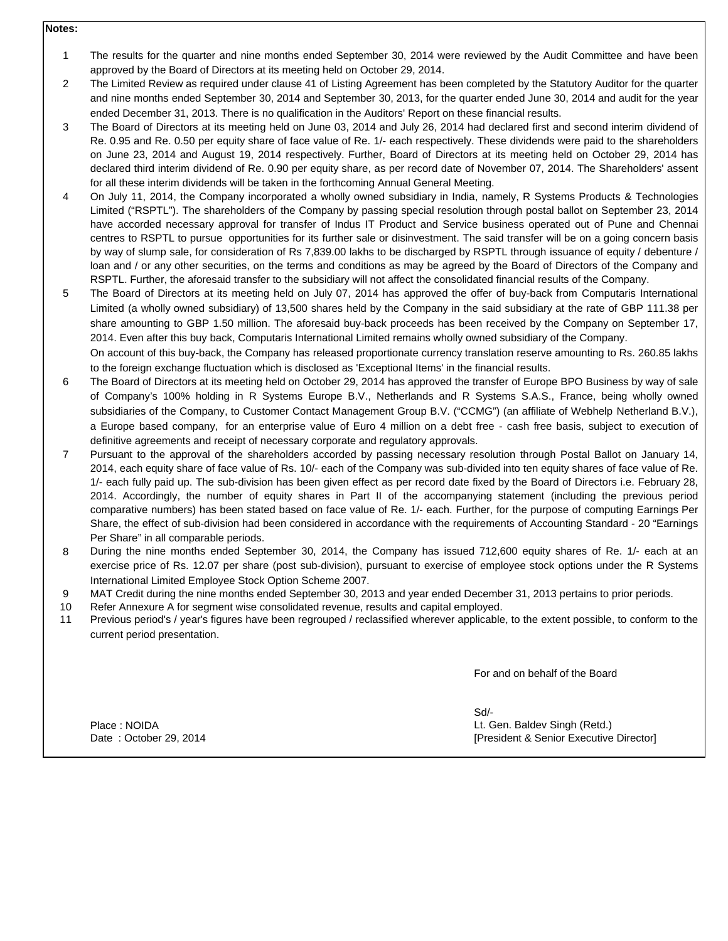## **Notes:**

- 1 The results for the quarter and nine months ended September 30, 2014 were reviewed by the Audit Committee and have been approved by the Board of Directors at its meeting held on October 29, 2014.
- 2 The Limited Review as required under clause 41 of Listing Agreement has been completed by the Statutory Auditor for the quarter and nine months ended September 30, 2014 and September 30, 2013, for the quarter ended June 30, 2014 and audit for the year ended December 31, 2013. There is no qualification in the Auditors' Report on these financial results.
- 3 The Board of Directors at its meeting held on June 03, 2014 and July 26, 2014 had declared first and second interim dividend of Re. 0.95 and Re. 0.50 per equity share of face value of Re. 1/- each respectively. These dividends were paid to the shareholders on June 23, 2014 and August 19, 2014 respectively. Further, Board of Directors at its meeting held on October 29, 2014 has declared third interim dividend of Re. 0.90 per equity share, as per record date of November 07, 2014. The Shareholders' assent for all these interim dividends will be taken in the forthcoming Annual General Meeting.
- 4 On July 11, 2014, the Company incorporated a wholly owned subsidiary in India, namely, R Systems Products & Technologies Limited ("RSPTL"). The shareholders of the Company by passing special resolution through postal ballot on September 23, 2014 have accorded necessary approval for transfer of Indus IT Product and Service business operated out of Pune and Chennai centres to RSPTL to pursue opportunities for its further sale or disinvestment. The said transfer will be on a going concern basis by way of slump sale, for consideration of Rs 7,839.00 lakhs to be discharged by RSPTL through issuance of equity / debenture / loan and / or any other securities, on the terms and conditions as may be agreed by the Board of Directors of the Company and RSPTL. Further, the aforesaid transfer to the subsidiary will not affect the consolidated financial results of the Company.
- 5 The Board of Directors at its meeting held on July 07, 2014 has approved the offer of buy-back from Computaris International Limited (a wholly owned subsidiary) of 13,500 shares held by the Company in the said subsidiary at the rate of GBP 111.38 per share amounting to GBP 1.50 million. The aforesaid buy-back proceeds has been received by the Company on September 17, 2014. Even after this buy back, Computaris International Limited remains wholly owned subsidiary of the Company. On account of this buy-back, the Company has released proportionate currency translation reserve amounting to Rs. 260.85 lakhs
- 6 to the foreign exchange fluctuation which is disclosed as 'Exceptional Items' in the financial results. The Board of Directors at its meeting held on October 29, 2014 has approved the transfer of Europe BPO Business by way of sale of Company's 100% holding in R Systems Europe B.V., Netherlands and R Systems S.A.S., France, being wholly owned subsidiaries of the Company, to Customer Contact Management Group B.V. ("CCMG") (an affiliate of Webhelp Netherland B.V.), a Europe based company, for an enterprise value of Euro 4 million on a debt free - cash free basis, subject to execution of definitive agreements and receipt of necessary corporate and regulatory approvals.
- 7 Pursuant to the approval of the shareholders accorded by passing necessary resolution through Postal Ballot on January 14, 2014, each equity share of face value of Rs. 10/- each of the Company was sub-divided into ten equity shares of face value of Re. 1/- each fully paid up. The sub-division has been given effect as per record date fixed by the Board of Directors i.e. February 28, 2014. Accordingly, the number of equity shares in Part II of the accompanying statement (including the previous period comparative numbers) has been stated based on face value of Re. 1/- each. Further, for the purpose of computing Earnings Per Share, the effect of sub-division had been considered in accordance with the requirements of Accounting Standard - 20 "Earnings Per Share" in all comparable periods.
- 8 During the nine months ended September 30, 2014, the Company has issued 712,600 equity shares of Re. 1/- each at an exercise price of Rs. 12.07 per share (post sub-division), pursuant to exercise of employee stock options under the R Systems International Limited Employee Stock Option Scheme 2007.
- 9 MAT Credit during the nine months ended September 30, 2013 and year ended December 31, 2013 pertains to prior periods.
- 10 Refer Annexure A for segment wise consolidated revenue, results and capital employed.
- 11 Previous period's / year's figures have been regrouped / reclassified wherever applicable, to the extent possible, to conform to the current period presentation.

For and on behalf of the Board

Place : NOIDA

Sd/- Date : October 29, 2014 **Date : October 29, 2014 [President & Senior Executive Director]** Lt. Gen. Baldev Singh (Retd.)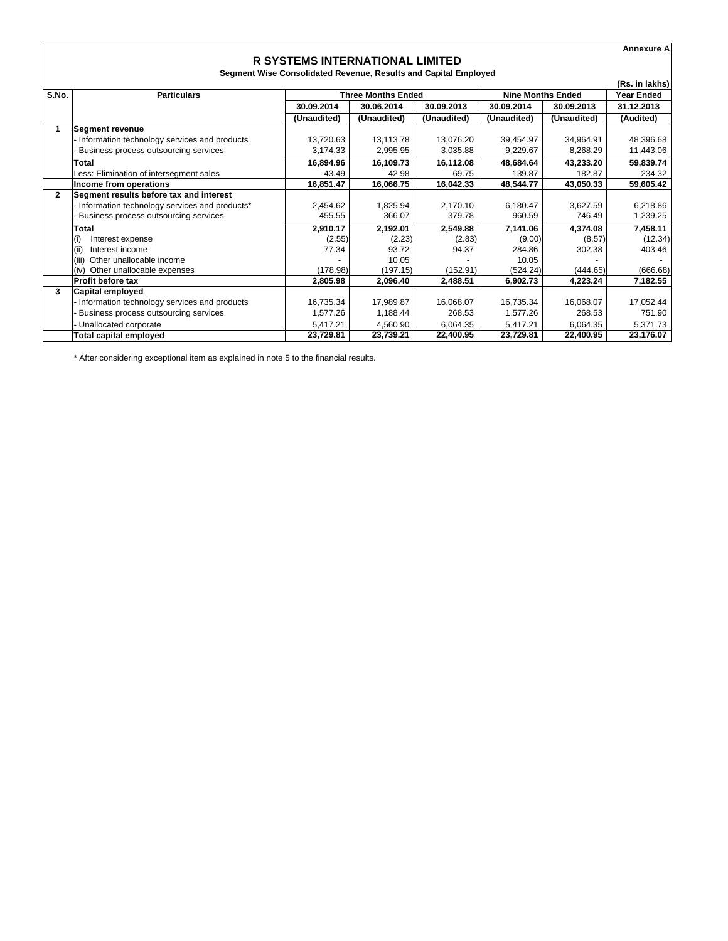|              |                                               |                                                                 |                           |             |                          |                   | <b>Annexure A</b> |
|--------------|-----------------------------------------------|-----------------------------------------------------------------|---------------------------|-------------|--------------------------|-------------------|-------------------|
|              |                                               | <b>R SYSTEMS INTERNATIONAL LIMITED</b>                          |                           |             |                          |                   |                   |
|              |                                               | Segment Wise Consolidated Revenue, Results and Capital Employed |                           |             |                          |                   |                   |
|              |                                               |                                                                 |                           |             |                          |                   | (Rs. in lakhs)    |
| S.No.        | <b>Particulars</b>                            |                                                                 | <b>Three Months Ended</b> |             | <b>Nine Months Ended</b> | <b>Year Ended</b> |                   |
|              |                                               | 30.09.2014                                                      | 30.06.2014                | 30.09.2013  | 30.09.2014               | 30.09.2013        | 31.12.2013        |
|              |                                               | (Unaudited)                                                     | (Unaudited)               | (Unaudited) | (Unaudited)              | (Unaudited)       | (Audited)         |
| 1            | <b>Segment revenue</b>                        |                                                                 |                           |             |                          |                   |                   |
|              | Information technology services and products  | 13,720.63                                                       | 13,113.78                 | 13,076.20   | 39,454.97                | 34,964.91         | 48,396.68         |
|              | Business process outsourcing services         | 3,174.33                                                        | 2,995.95                  | 3,035.88    | 9,229.67                 | 8.268.29          | 11,443.06         |
|              | Total                                         | 16,894.96                                                       | 16,109.73                 | 16,112.08   | 48,684.64                | 43,233.20         | 59,839.74         |
|              | Less: Elimination of intersegment sales       | 43.49                                                           | 42.98                     | 69.75       | 139.87                   | 182.87            | 234.32            |
|              | Income from operations                        | 16,851.47                                                       | 16,066.75                 | 16,042.33   | 48.544.77                | 43,050.33         | 59,605.42         |
| $\mathbf{2}$ | Segment results before tax and interest       |                                                                 |                           |             |                          |                   |                   |
|              | Information technology services and products* | 2,454.62                                                        | 1,825.94                  | 2,170.10    | 6,180.47                 | 3,627.59          | 6,218.86          |
|              | Business process outsourcing services         | 455.55                                                          | 366.07                    | 379.78      | 960.59                   | 746.49            | 1,239.25          |
|              | Total                                         | 2,910.17                                                        | 2,192.01                  | 2,549.88    | 7,141.06                 | 4.374.08          | 7,458.11          |
|              | Interest expense<br>(i)                       | (2.55)                                                          | (2.23)                    | (2.83)      | (9.00)                   | (8.57)            | (12.34)           |
|              | (iii)<br>Interest income                      | 77.34                                                           | 93.72                     | 94.37       | 284.86                   | 302.38            | 403.46            |
|              | (iii)<br>Other unallocable income             |                                                                 | 10.05                     |             | 10.05                    |                   |                   |
|              | Other unallocable expenses<br>(iv)            | (178.98)                                                        | (197.15)                  | (152.91)    | (524.24)                 | (444.65)          | (666.68)          |
|              | <b>Profit before tax</b>                      | 2,805.98                                                        | 2,096.40                  | 2,488.51    | 6,902.73                 | 4,223.24          | 7,182.55          |
| 3            | <b>Capital employed</b>                       |                                                                 |                           |             |                          |                   |                   |
|              | Information technology services and products  | 16,735.34                                                       | 17,989.87                 | 16,068.07   | 16,735.34                | 16.068.07         | 17,052.44         |
|              | Business process outsourcing services         | 1,577.26                                                        | 1,188.44                  | 268.53      | 1,577.26                 | 268.53            | 751.90            |
|              | Unallocated corporate                         | 5,417.21                                                        | 4,560.90                  | 6,064.35    | 5.417.21                 | 6.064.35          | 5,371.73          |
|              | Total capital employed                        | 23,729.81                                                       | 23,739.21                 | 22,400.95   | 23,729.81                | 22,400.95         | 23,176.07         |

\* After considering exceptional item as explained in note 5 to the financial results.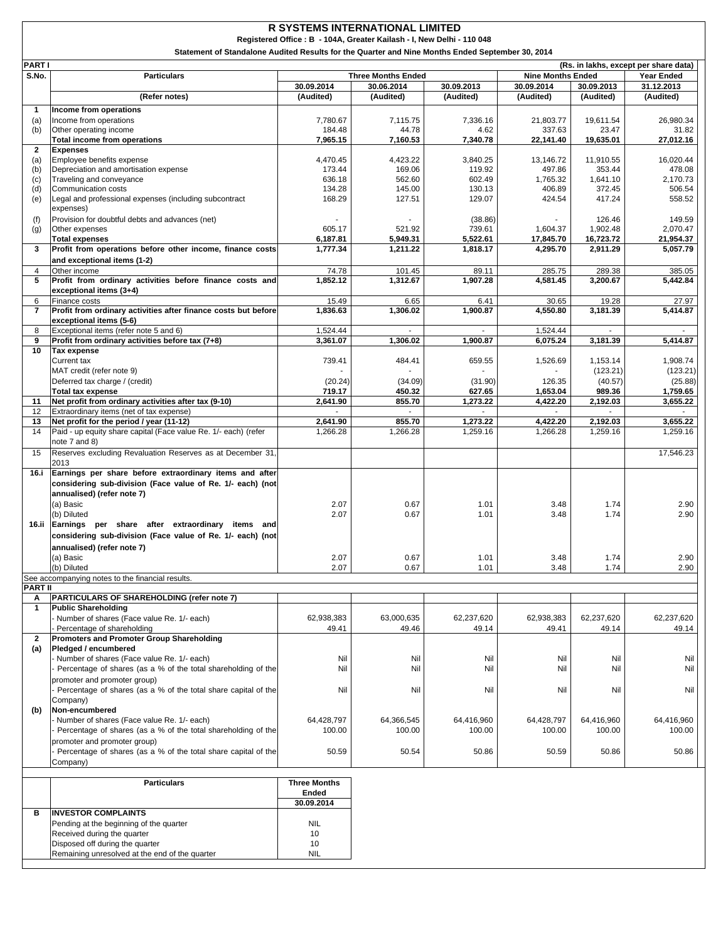|                     | <b>R SYSTEMS INTERNATIONAL LIMITED</b><br>Registered Office: B - 104A, Greater Kailash - I, New Delhi - 110 048 |                         |                           |                         |                          |                         |                                       |  |  |
|---------------------|-----------------------------------------------------------------------------------------------------------------|-------------------------|---------------------------|-------------------------|--------------------------|-------------------------|---------------------------------------|--|--|
|                     | Statement of Standalone Audited Results for the Quarter and Nine Months Ended September 30, 2014                |                         |                           |                         |                          |                         |                                       |  |  |
| <b>PARTI</b>        |                                                                                                                 |                         |                           |                         |                          |                         | (Rs. in lakhs, except per share data) |  |  |
| S.No.               | <b>Particulars</b>                                                                                              |                         | <b>Three Months Ended</b> |                         | <b>Nine Months Ended</b> |                         | <b>Year Ended</b>                     |  |  |
|                     | (Refer notes)                                                                                                   | 30.09.2014<br>(Audited) | 30.06.2014<br>(Audited)   | 30.09.2013<br>(Audited) | 30.09.2014<br>(Audited)  | 30.09.2013<br>(Audited) | 31.12.2013<br>(Audited)               |  |  |
| 1                   | Income from operations                                                                                          |                         |                           |                         |                          |                         |                                       |  |  |
| (a)                 | Income from operations                                                                                          | 7,780.67                | 7,115.75                  | 7,336.16                | 21,803.77                | 19,611.54               | 26,980.34                             |  |  |
| (b)                 | Other operating income                                                                                          | 184.48                  | 44.78                     | 4.62                    | 337.63                   | 23.47                   | 31.82                                 |  |  |
| $\mathbf{2}$        | Total income from operations<br><b>Expenses</b>                                                                 | 7,965.15                | 7,160.53                  | 7,340.78                | 22,141.40                | 19,635.01               | 27,012.16                             |  |  |
| (a)                 | Employee benefits expense                                                                                       | 4,470.45                | 4,423.22                  | 3,840.25                | 13,146.72                | 11,910.55               | 16,020.44                             |  |  |
| (b)                 | Depreciation and amortisation expense                                                                           | 173.44                  | 169.06                    | 119.92                  | 497.86                   | 353.44                  | 478.08                                |  |  |
| (c)<br>(d)          | Traveling and conveyance<br>Communication costs                                                                 | 636.18<br>134.28        | 562.60<br>145.00          | 602.49<br>130.13        | 1,765.32<br>406.89       | 1,641.10<br>372.45      | 2,170.73<br>506.54                    |  |  |
| (e)                 | Legal and professional expenses (including subcontract                                                          | 168.29                  | 127.51                    | 129.07                  | 424.54                   | 417.24                  | 558.52                                |  |  |
|                     | expenses)                                                                                                       |                         |                           |                         |                          |                         |                                       |  |  |
| (f)<br>(g)          | Provision for doubtful debts and advances (net)<br>Other expenses                                               | 605.17                  | 521.92                    | (38.86)<br>739.61       | 1,604.37                 | 126.46<br>1,902.48      | 149.59<br>2,070.47                    |  |  |
|                     | <b>Total expenses</b>                                                                                           | 6,187.81                | 5,949.31                  | 5,522.61                | 17,845.70                | 16,723.72               | 21,954.37                             |  |  |
| 3                   | Profit from operations before other income, finance costs                                                       | 1,777.34                | 1,211.22                  | 1,818.17                | 4,295.70                 | 2,911.29                | 5,057.79                              |  |  |
|                     | and exceptional items (1-2)                                                                                     |                         |                           |                         |                          |                         |                                       |  |  |
| $\overline{4}$<br>5 | Other income<br>Profit from ordinary activities before finance costs and                                        | 74.78<br>1,852.12       | 101.45<br>1,312.67        | 89.11<br>1,907.28       | 285.75<br>4,581.45       | 289.38<br>3,200.67      | 385.05<br>5,442.84                    |  |  |
|                     | exceptional items (3+4)                                                                                         |                         |                           |                         |                          |                         |                                       |  |  |
| 6                   | Finance costs                                                                                                   | 15.49                   | 6.65                      | 6.41                    | 30.65                    | 19.28                   | 27.97                                 |  |  |
| $\overline{7}$      | Profit from ordinary activities after finance costs but before<br>exceptional items (5-6)                       | 1,836.63                | 1,306.02                  | 1,900.87                | 4,550.80                 | 3,181.39                | 5,414.87                              |  |  |
| 8                   | Exceptional items (refer note 5 and 6)                                                                          | 1,524.44                | $\sim$                    | ÷.                      | 1,524.44                 | $\sim$                  |                                       |  |  |
| 9                   | Profit from ordinary activities before tax (7+8)                                                                | 3,361.07                | 1,306.02                  | 1,900.87                | 6,075.24                 | 3,181.39                | 5,414.87                              |  |  |
| 10                  | <b>Tax expense</b><br>Current tax                                                                               | 739.41                  | 484.41                    | 659.55                  | 1.526.69                 | 1,153.14                | 1,908.74                              |  |  |
|                     | MAT credit (refer note 9)                                                                                       |                         |                           |                         |                          | (123.21)                | (123.21)                              |  |  |
|                     | Deferred tax charge / (credit)                                                                                  | (20.24)                 | (34.09)                   | (31.90)                 | 126.35                   | (40.57)                 | (25.88)                               |  |  |
| 11                  | <b>Total tax expense</b><br>Net profit from ordinary activities after tax (9-10)                                | 719.17<br>2,641.90      | 450.32<br>855.70          | 627.65<br>1,273.22      | 1,653.04<br>4,422.20     | 989.36<br>2,192.03      | 1,759.65<br>3,655.22                  |  |  |
| 12                  | Extraordinary items (net of tax expense)                                                                        |                         |                           |                         |                          |                         |                                       |  |  |
| 13                  | Net profit for the period / year (11-12)                                                                        | 2,641.90                | 855.70                    | 1,273.22                | 4,422.20                 | 2,192.03                | 3,655.22                              |  |  |
| 14                  | Paid - up equity share capital (Face value Re. 1/- each) (refer<br>note 7 and 8)                                | 1,266.28                | 1,266.28                  | 1,259.16                | 1,266.28                 | 1,259.16                | 1,259.16                              |  |  |
| 15                  | Reserves excluding Revaluation Reserves as at December 31,                                                      |                         |                           |                         |                          |                         | 17,546.23                             |  |  |
|                     | 2013                                                                                                            |                         |                           |                         |                          |                         |                                       |  |  |
| 16.i                | Earnings per share before extraordinary items and after                                                         |                         |                           |                         |                          |                         |                                       |  |  |
|                     | considering sub-division (Face value of Re. 1/- each) (not<br>annualised) (refer note 7)                        |                         |                           |                         |                          |                         |                                       |  |  |
|                     | (a) Basic                                                                                                       | 2.07                    | 0.67                      | 1.01                    | 3.48                     | 1.74                    | 2.90                                  |  |  |
|                     | (b) Diluted                                                                                                     | 2.07                    | 0.67                      | 1.01                    | 3.48                     | 1.74                    | 2.90                                  |  |  |
| 16.ii               | Earnings per share after extraordinary items and                                                                |                         |                           |                         |                          |                         |                                       |  |  |
|                     | considering sub-division (Face value of Re. 1/- each) (not<br>annualised) (refer note 7)                        |                         |                           |                         |                          |                         |                                       |  |  |
|                     | (a) Basic                                                                                                       | 2.07                    | 0.67                      | 1.01                    | 3.48                     | 1.74                    | 2.90                                  |  |  |
|                     | (b) Diluted                                                                                                     | 2.07                    | 0.67                      | 1.01                    | 3.48                     | 1.74                    | 2.90                                  |  |  |
| <b>PART II</b>      | See accompanying notes to the financial results.                                                                |                         |                           |                         |                          |                         |                                       |  |  |
| Α                   | PARTICULARS OF SHAREHOLDING (refer note 7)                                                                      |                         |                           |                         |                          |                         |                                       |  |  |
| $\mathbf{1}$        | <b>Public Shareholding</b>                                                                                      |                         |                           |                         |                          |                         |                                       |  |  |
|                     | Number of shares (Face value Re. 1/- each)<br>Percentage of shareholding                                        | 62,938,383<br>49.41     | 63,000,635<br>49.46       | 62,237,620<br>49.14     | 62,938,383<br>49.41      | 62,237,620<br>49.14     | 62,237,620<br>49.14                   |  |  |
| $\overline{2}$      | Promoters and Promoter Group Shareholding                                                                       |                         |                           |                         |                          |                         |                                       |  |  |
| (a)                 | Pledged / encumbered                                                                                            |                         |                           |                         |                          |                         |                                       |  |  |
|                     | Number of shares (Face value Re. 1/- each)<br>Percentage of shares (as a % of the total shareholding of the     | Nil<br>Nil              | Nil<br>Nil                | Nil<br>Nil              | Nil<br>Nil               | Nil<br>Nil              | Nil<br>Nil                            |  |  |
|                     | promoter and promoter group)                                                                                    |                         |                           |                         |                          |                         |                                       |  |  |
|                     | Percentage of shares (as a % of the total share capital of the                                                  | Nil                     | Nil                       | Nil                     | Nil                      | Nil                     | Nil                                   |  |  |
|                     | Company)                                                                                                        |                         |                           |                         |                          |                         |                                       |  |  |
| (b)                 | Non-encumbered<br>- Number of shares (Face value Re. 1/- each)                                                  | 64,428,797              | 64,366,545                | 64,416,960              | 64,428,797               | 64,416,960              | 64,416,960                            |  |  |
|                     | Percentage of shares (as a % of the total shareholding of the                                                   | 100.00                  | 100.00                    | 100.00                  | 100.00                   | 100.00                  | 100.00                                |  |  |
|                     | promoter and promoter group)                                                                                    |                         |                           |                         |                          |                         |                                       |  |  |
|                     | Percentage of shares (as a % of the total share capital of the<br>Company)                                      | 50.59                   | 50.54                     | 50.86                   | 50.59                    | 50.86                   | 50.86                                 |  |  |
|                     |                                                                                                                 |                         |                           |                         |                          |                         |                                       |  |  |
|                     | <b>Particulars</b>                                                                                              | <b>Three Months</b>     |                           |                         |                          |                         |                                       |  |  |
|                     |                                                                                                                 | Ended<br>30.09.2014     |                           |                         |                          |                         |                                       |  |  |
| в                   | <b>INVESTOR COMPLAINTS</b>                                                                                      |                         |                           |                         |                          |                         |                                       |  |  |
|                     | Pending at the beginning of the quarter                                                                         | <b>NIL</b>              |                           |                         |                          |                         |                                       |  |  |
|                     | Received during the quarter<br>Disposed off during the quarter                                                  | 10<br>10                |                           |                         |                          |                         |                                       |  |  |
|                     | Remaining unresolved at the end of the quarter                                                                  | <b>NIL</b>              |                           |                         |                          |                         |                                       |  |  |
|                     |                                                                                                                 |                         |                           |                         |                          |                         |                                       |  |  |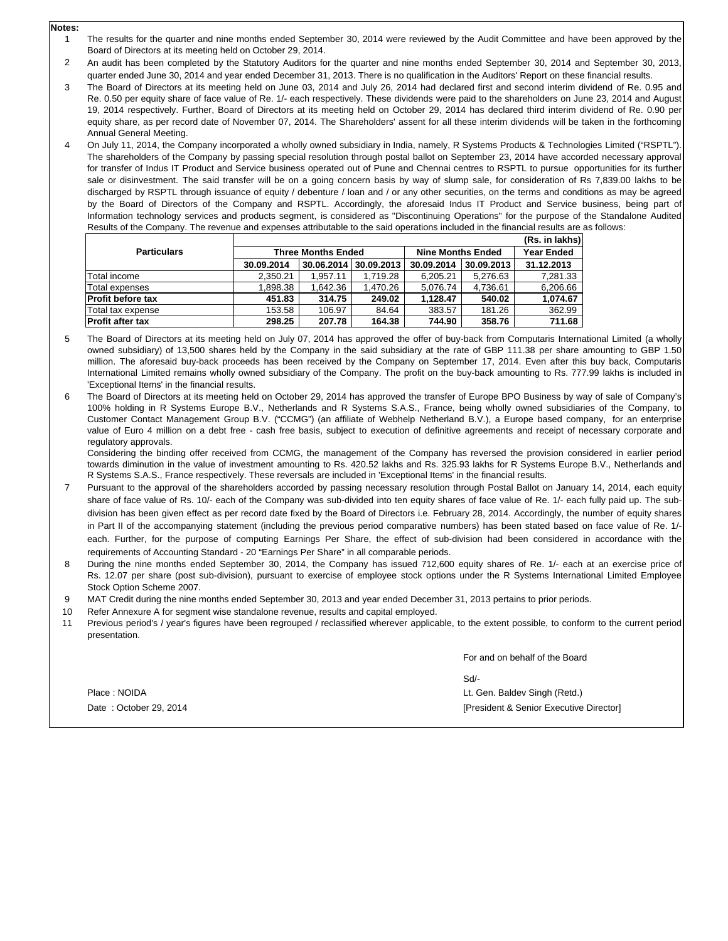**Notes:**

- 1 The results for the quarter and nine months ended September 30, 2014 were reviewed by the Audit Committee and have been approved by the Board of Directors at its meeting held on October 29, 2014.
- $\mathfrak{p}$ An audit has been completed by the Statutory Auditors for the quarter and nine months ended September 30, 2014 and September 30, 2013, quarter ended June 30, 2014 and year ended December 31, 2013. There is no qualification in the Auditors' Report on these financial results.
- 3 The Board of Directors at its meeting held on June 03, 2014 and July 26, 2014 had declared first and second interim dividend of Re. 0.95 and Re. 0.50 per equity share of face value of Re. 1/- each respectively. These dividends were paid to the shareholders on June 23, 2014 and August 19, 2014 respectively. Further, Board of Directors at its meeting held on October 29, 2014 has declared third interim dividend of Re. 0.90 per equity share, as per record date of November 07, 2014. The Shareholders' assent for all these interim dividends will be taken in the forthcoming Annual General Meeting.
- 4 On July 11, 2014, the Company incorporated a wholly owned subsidiary in India, namely, R Systems Products & Technologies Limited ("RSPTL"). The shareholders of the Company by passing special resolution through postal ballot on September 23, 2014 have accorded necessary approval for transfer of Indus IT Product and Service business operated out of Pune and Chennai centres to RSPTL to pursue opportunities for its furthe sale or disinvestment. The said transfer will be on a going concern basis by way of slump sale, for consideration of Rs 7,839.00 lakhs to be discharged by RSPTL through issuance of equity / debenture / loan and / or any other securities, on the terms and conditions as may be agreed by the Board of Directors of the Company and RSPTL. Accordingly, the aforesaid Indus IT Product and Service business, being part of Information technology services and products segment, is considered as "Discontinuing Operations" for the purpose of the Standalone Audited Results of the Company. The revenue and expenses attributable to the said operations included in the financial results are as follows:

|                    | (Rs. in lakhs) |                           |            |                          |                   |            |  |  |
|--------------------|----------------|---------------------------|------------|--------------------------|-------------------|------------|--|--|
| <b>Particulars</b> |                | <b>Three Months Ended</b> |            | <b>Nine Months Ended</b> | <b>Year Ended</b> |            |  |  |
|                    | 30.09.2014     | 30.06.2014                | 30.09.2013 | 30.09.2014               | 30.09.2013        | 31.12.2013 |  |  |
| Total income       | 2.350.21       | 1.957.11                  | 1.719.28   | 6.205.21                 | 5.276.63          | 7.281.33   |  |  |
| Total expenses     | 1.898.38       | 1.642.36                  | 1.470.26   | 5.076.74                 | 4.736.61          | 6,206.66   |  |  |
| Profit before tax  | 451.83         | 314.75                    | 249.02     | 1.128.47                 | 540.02            | 1,074.67   |  |  |
| Total tax expense  | 153.58         | 106.97                    | 84.64      | 383.57                   | 181.26            | 362.99     |  |  |
| Profit after tax   | 298.25         | 207.78                    | 164.38     | 744.90                   | 358.76            | 711.68     |  |  |

- 5 The Board of Directors at its meeting held on July 07, 2014 has approved the offer of buy-back from Computaris International Limited (a wholly owned subsidiary) of 13,500 shares held by the Company in the said subsidiary at the rate of GBP 111.38 per share amounting to GBP 1.50 million. The aforesaid buy-back proceeds has been received by the Company on September 17, 2014. Even after this buy back, Computaris International Limited remains wholly owned subsidiary of the Company. The profit on the buy-back amounting to Rs. 777.99 lakhs is included in 'Exceptional Items' in the financial results.
- 6 The Board of Directors at its meeting held on October 29, 2014 has approved the transfer of Europe BPO Business by way of sale of Company's 100% holding in R Systems Europe B.V., Netherlands and R Systems S.A.S., France, being wholly owned subsidiaries of the Company, to Customer Contact Management Group B.V. ("CCMG") (an affiliate of Webhelp Netherland B.V.), a Europe based company, for an enterprise value of Euro 4 million on a debt free - cash free basis, subject to execution of definitive agreements and receipt of necessary corporate and regulatory approvals.

Considering the binding offer received from CCMG, the management of the Company has reversed the provision considered in earlier period towards diminution in the value of investment amounting to Rs. 420.52 lakhs and Rs. 325.93 lakhs for R Systems Europe B.V., Netherlands and R Systems S.A.S., France respectively. These reversals are included in 'Exceptional Items' in the financial results.

- 7 Pursuant to the approval of the shareholders accorded by passing necessary resolution through Postal Ballot on January 14, 2014, each equity share of face value of Rs. 10/- each of the Company was sub-divided into ten equity shares of face value of Re. 1/- each fully paid up. The subdivision has been given effect as per record date fixed by the Board of Directors i.e. February 28, 2014. Accordingly, the number of equity shares in Part II of the accompanying statement (including the previous period comparative numbers) has been stated based on face value of Re. 1/ each. Further, for the purpose of computing Earnings Per Share, the effect of sub-division had been considered in accordance with the requirements of Accounting Standard - 20 "Earnings Per Share" in all comparable periods.
- 8 During the nine months ended September 30, 2014, the Company has issued 712,600 equity shares of Re. 1/- each at an exercise price of Rs. 12.07 per share (post sub-division), pursuant to exercise of employee stock options under the R Systems International Limited Employee Stock Option Scheme 2007.
- 9 MAT Credit during the nine months ended September 30, 2013 and year ended December 31, 2013 pertains to prior periods.
- 10 Refer Annexure A for segment wise standalone revenue, results and capital employed.
- 11 Previous period's / year's figures have been regrouped / reclassified wherever applicable, to the extent possible, to conform to the current period presentation.

For and on behalf of the Board

Sd/-

Lt. Gen. Baldev Singh (Retd.)

[President & Senior Executive Director]

Place : NOIDA Date : October 29, 2014